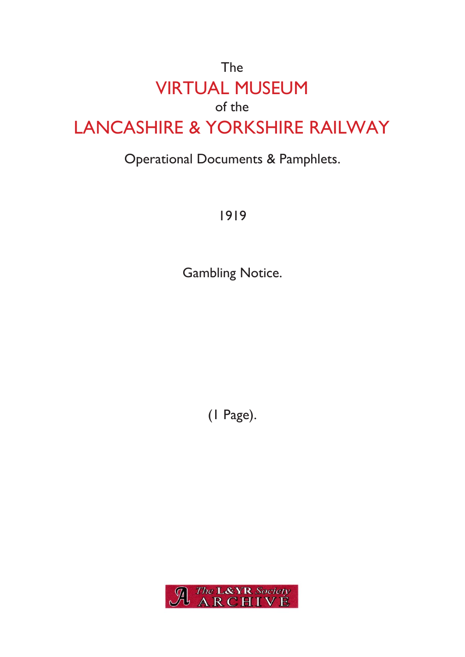## The VIRTUAL MUSEUM of the LANCASHIRE & YORKSHIRE RAILWAY

## Operational Documents & Pamphlets.

1919

Gambling Notice.

(1 Page).